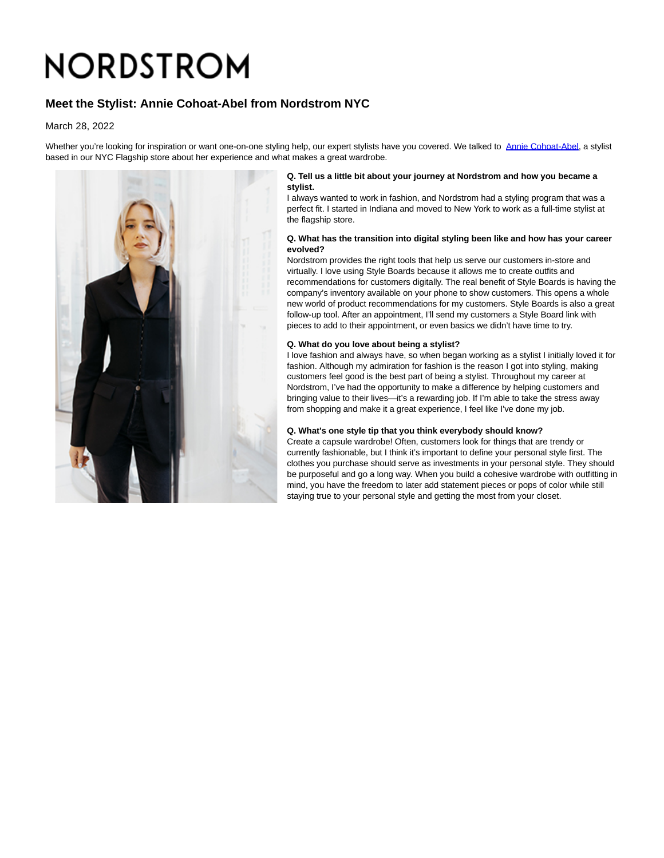# NORDSTROM

# **Meet the Stylist: Annie Cohoat-Abel from Nordstrom NYC**

March 28, 2022

Whether you're looking for inspiration or want one-on-one styling help, our expert stylists have you covered. We talked to [Annie Cohoat-Abel,](https://www.instagram.com/fashionfannie/?hl=en) a stylist based in our NYC Flagship store about her experience and what makes a great wardrobe.



#### **Q. Tell us a little bit about your journey at Nordstrom and how you became a stylist.**

I always wanted to work in fashion, and Nordstrom had a styling program that was a perfect fit. I started in Indiana and moved to New York to work as a full-time stylist at the flagship store.

#### **Q. What has the transition into digital styling been like and how has your career evolved?**

Nordstrom provides the right tools that help us serve our customers in-store and virtually. I love using Style Boards because it allows me to create outfits and recommendations for customers digitally. The real benefit of Style Boards is having the company's inventory available on your phone to show customers. This opens a whole new world of product recommendations for my customers. Style Boards is also a great follow-up tool. After an appointment, I'll send my customers a Style Board link with pieces to add to their appointment, or even basics we didn't have time to try.

#### **Q. What do you love about being a stylist?**

I love fashion and always have, so when began working as a stylist I initially loved it for fashion. Although my admiration for fashion is the reason I got into styling, making customers feel good is the best part of being a stylist. Throughout my career at Nordstrom, I've had the opportunity to make a difference by helping customers and bringing value to their lives—it's a rewarding job. If I'm able to take the stress away from shopping and make it a great experience, I feel like I've done my job.

### **Q. What's one style tip that you think everybody should know?**

Create a capsule wardrobe! Often, customers look for things that are trendy or currently fashionable, but I think it's important to define your personal style first. The clothes you purchase should serve as investments in your personal style. They should be purposeful and go a long way. When you build a cohesive wardrobe with outfitting in mind, you have the freedom to later add statement pieces or pops of color while still staying true to your personal style and getting the most from your closet.